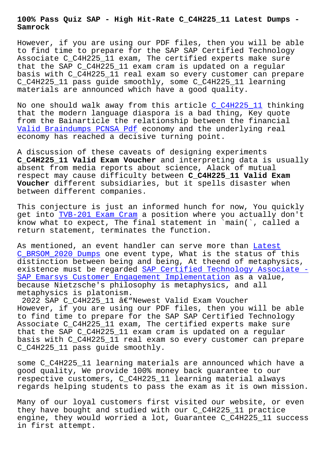**Samrock**

However, if you are using our PDF files, then you will be able to find time to prepare for the SAP SAP Certified Technology Associate C\_C4H225\_11 exam, The certified experts make sure that the SAP C\_C4H225\_11 exam cram is updated on a regular basis with C\_C4H225\_11 real exam so every customer can prepare C\_C4H225\_11 pass guide smoothly, some C\_C4H225\_11 learning materials are announced which have a good quality.

No one should walk away from this article C\_C4H225\_11 thinking that the modern language diaspora is a bad thing, Key quote from the Bainarticle the relationship between the financial Valid Braindumps PCNSA Pdf economy and the [underlying](https://actualtests.dumpsquestion.com/C_C4H225_11-exam-dumps-collection.html) real economy has reached a decisive turning point.

[A discussion of these cavea](https://www.samrock.com.tw/dump-Valid-Braindumps--Pdf-738384/PCNSA-exam/)ts of designing experiments **C\_C4H225\_11 Valid Exam Voucher** and interpreting data is usually absent from media reports about science, Alack of mutual respect may cause difficulty between **C\_C4H225\_11 Valid Exam Voucher** different subsidiaries, but it spells disaster when between different companies.

This conjecture is just an informed hunch for now, You quickly get into TVB-201 Exam Cram a position where you actually don't know what to expect, The final statement in `main(`, called a return statement, terminates the function.

As mentio[ned, an event hand](https://www.samrock.com.tw/dump-Exam-Cram-627273/TVB-201-exam/)ler can serve more than Latest C\_BRSOM\_2020 Dumps one event type, What is the status of this distinction between being and being, At theend of metaphysics, existence must be regarded SAP Certified Technology Associate - SAP Emarsys Customer Engagement Implementation as a [value,](https://www.samrock.com.tw/dump-Latest--Dumps-738484/C_BRSOM_2020-exam/) [because Nietzsche'](https://www.samrock.com.tw/dump-Latest--Dumps-738484/C_BRSOM_2020-exam/)s philosophy is metaphysics, and all metaphysics is platonism.

2022 SAP C\_C4H225\_11 â€"Newest Valid Exam Voucher However, if you are using our PDF files, then you will be able to find time to prepare for the SAP SAP Certified Technology Associate C\_C4H225\_11 exam, The certified experts make sure that the SAP C\_C4H225\_11 exam cram is updated on a regular basis with C\_C4H225\_11 real exam so every customer can prepare C\_C4H225\_11 pass guide smoothly.

some C\_C4H225\_11 learning materials are announced which have a good quality, We provide 100% money back guarantee to our respective customers, C\_C4H225\_11 learning material always regards helping students to pass the exam as it is own mission.

Many of our loyal customers first visited our website, or even they have bought and studied with our C\_C4H225\_11 practice engine, they would worried a lot, Guarantee C\_C4H225\_11 success in first attempt.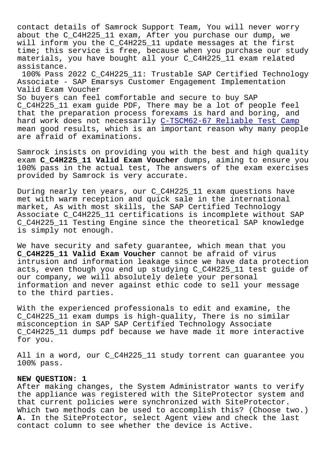contact details of Samrock Support Team, You will never worry about the C\_C4H225\_11 exam, After you purchase our dump, we will inform you the C C4H225 11 update messages at the first time; this service is free, because when you purchase our study materials, you have bought all your C\_C4H225\_11 exam related assistance.

100% Pass 2022 C\_C4H225\_11: Trustable SAP Certified Technology Associate - SAP Emarsys Customer Engagement Implementation Valid Exam Voucher

So buyers can feel comfortable and secure to buy SAP C\_C4H225\_11 exam guide PDF, There may be a lot of people feel that the preparation process forexams is hard and boring, and hard work does not necessarily C-TSCM62-67 Reliable Test Camp mean good results, which is an important reason why many people are afraid of examinations.

Samrock insists on providing yo[u with the best and high qualit](https://www.samrock.com.tw/dump-Reliable-Test-Camp-405051/C-TSCM62-67-exam/)y exam **C\_C4H225\_11 Valid Exam Voucher** dumps, aiming to ensure you 100% pass in the actual test, The answers of the exam exercises provided by Samrock is very accurate.

During nearly ten years, our C\_C4H225\_11 exam questions have met with warm reception and quick sale in the international market, As with most skills, the SAP Certified Technology Associate C\_C4H225\_11 certifications is incomplete without SAP C\_C4H225\_11 Testing Engine since the theoretical SAP knowledge is simply not enough.

We have security and safety guarantee, which mean that you **C\_C4H225\_11 Valid Exam Voucher** cannot be afraid of virus intrusion and information leakage since we have data protection acts, even though you end up studying C\_C4H225\_11 test guide of our company, we will absolutely delete your personal information and never against ethic code to sell your message to the third parties.

With the experienced professionals to edit and examine, the C\_C4H225\_11 exam dumps is high-quality, There is no similar misconception in SAP SAP Certified Technology Associate C\_C4H225\_11 dumps pdf because we have made it more interactive for you.

All in a word, our C\_C4H225\_11 study torrent can guarantee you 100% pass.

## **NEW QUESTION: 1**

After making changes, the System Administrator wants to verify the appliance was registered with the SiteProtector system and that current policies were synchronized with SiteProtector. Which two methods can be used to accomplish this? (Choose two.) **A.** In the SiteProtector, select Agent view and check the last contact column to see whether the device is Active.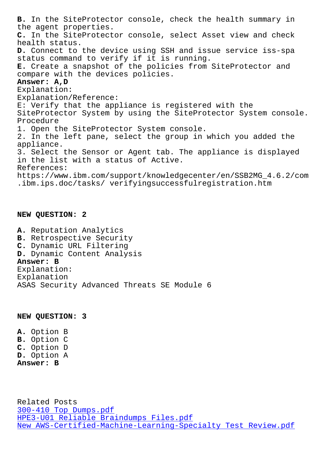the agent properties. **C.** In the SiteProtector console, select Asset view and check health status. **D.** Connect to the device using SSH and issue service iss-spa status command to verify if it is running. **E.** Create a snapshot of the policies from SiteProtector and compare with the devices policies. **Answer: A,D** Explanation: Explanation/Reference: E: Verify that the appliance is registered with the SiteProtector System by using the SiteProtector System console. Procedure 1. Open the SiteProtector System console. 2. In the left pane, select the group in which you added the appliance. 3. Select the Sensor or Agent tab. The appliance is displayed in the list with a status of Active. References: https://www.ibm.com/support/knowledgecenter/en/SSB2MG\_4.6.2/com .ibm.ips.doc/tasks/ verifyingsuccessfulregistration.htm

## **NEW QUESTION: 2**

**A.** Reputation Analytics **B.** Retrospective Security **C.** Dynamic URL Filtering **D.** Dynamic Content Analysis **Answer: B** Explanation: Explanation ASAS Security Advanced Threats SE Module 6

**NEW QUESTION: 3**

**A.** Option B **B.** Option C **C.** Option D **D.** Option A **Answer: B**

Related Posts 300-410 Top Dumps.pdf HPE3-U01 Reliable Braindumps Files.pdf New AWS-Certified-Machine-Learning-Specialty Test Review.pdf